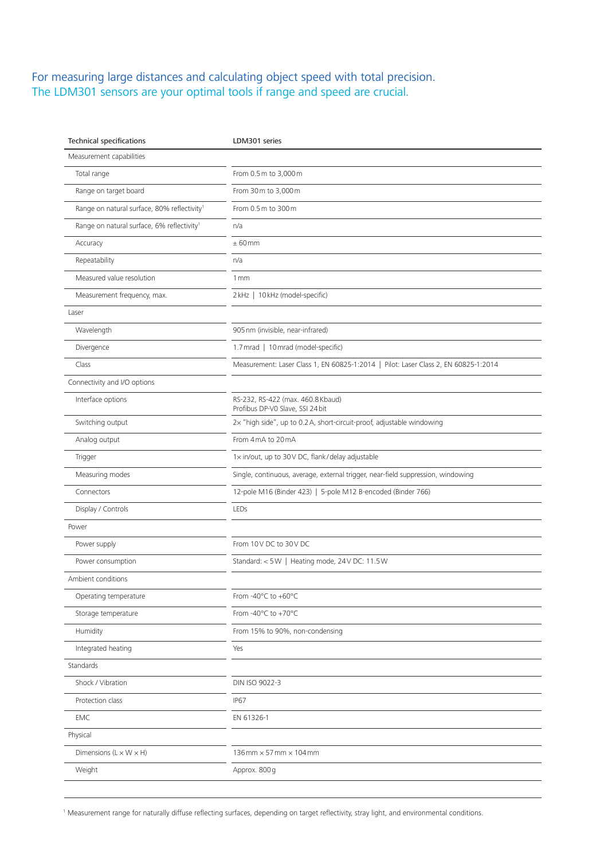## For measuring large distances and calculating object speed with total precision. The LDM301 sensors are your optimal tools if range and speed are crucial.

| Measurement capabilities<br>Total range<br>From 0.5 m to 3,000 m<br>Range on target board<br>From 30 m to 3,000 m<br>Range on natural surface, 80% reflectivity <sup>1</sup><br>From 0.5 m to 300 m<br>Range on natural surface, 6% reflectivity <sup>1</sup><br>n/a<br>± 60mm<br>Accuracy<br>Repeatability<br>n/a<br>Measured value resolution<br>1mm<br>2 kHz   10 kHz (model-specific)<br>Measurement frequency, max.<br>Laser<br>905 nm (invisible, near-infrared)<br>Wavelength<br>1.7 mrad   10 mrad (model-specific)<br>Divergence<br>Class<br>Measurement: Laser Class 1, EN 60825-1:2014   Pilot: Laser Class 2, EN 60825-1:2014<br>Connectivity and I/O options<br>Interface options<br>RS-232, RS-422 (max. 460.8 Kbaud)<br>Profibus DP-V0 Slave, SSI 24 bit<br>2x "high side", up to 0.2 A, short-circuit-proof, adjustable windowing<br>Switching output<br>Analog output<br>From 4mA to 20mA<br>1x in/out, up to 30V DC, flank/delay adjustable<br>Trigger<br>Measuring modes<br>Single, continuous, average, external trigger, near-field suppression, windowing<br>12-pole M16 (Binder 423)   5-pole M12 B-encoded (Binder 766)<br>Connectors<br>Display / Controls<br>LEDs<br>Power<br>Power supply<br>From 10V DC to 30V DC<br>Standard: < 5W   Heating mode, 24V DC: 11.5W<br>Power consumption<br>Ambient conditions<br>From -40°C to +60°C<br>Operating temperature<br>From -40°C to +70°C<br>Storage temperature<br>Humidity<br>From 15% to 90%, non-condensing<br>Integrated heating<br>Yes<br>Standards<br>Shock / Vibration<br>DIN ISO 9022-3<br>Protection class<br><b>IP67</b><br><b>EMC</b><br>EN 61326-1<br>Physical<br>$136$ mm $\times$ 57 mm $\times$ 104 mm<br>Dimensions ( $L \times W \times H$ )<br>Weight<br>Approx. 800 g | <b>Technical specifications</b> | LDM301 series |
|-----------------------------------------------------------------------------------------------------------------------------------------------------------------------------------------------------------------------------------------------------------------------------------------------------------------------------------------------------------------------------------------------------------------------------------------------------------------------------------------------------------------------------------------------------------------------------------------------------------------------------------------------------------------------------------------------------------------------------------------------------------------------------------------------------------------------------------------------------------------------------------------------------------------------------------------------------------------------------------------------------------------------------------------------------------------------------------------------------------------------------------------------------------------------------------------------------------------------------------------------------------------------------------------------------------------------------------------------------------------------------------------------------------------------------------------------------------------------------------------------------------------------------------------------------------------------------------------------------------------------------------------------------------------------------------------------------------------------------------------------------------------|---------------------------------|---------------|
|                                                                                                                                                                                                                                                                                                                                                                                                                                                                                                                                                                                                                                                                                                                                                                                                                                                                                                                                                                                                                                                                                                                                                                                                                                                                                                                                                                                                                                                                                                                                                                                                                                                                                                                                                                 |                                 |               |
|                                                                                                                                                                                                                                                                                                                                                                                                                                                                                                                                                                                                                                                                                                                                                                                                                                                                                                                                                                                                                                                                                                                                                                                                                                                                                                                                                                                                                                                                                                                                                                                                                                                                                                                                                                 |                                 |               |
|                                                                                                                                                                                                                                                                                                                                                                                                                                                                                                                                                                                                                                                                                                                                                                                                                                                                                                                                                                                                                                                                                                                                                                                                                                                                                                                                                                                                                                                                                                                                                                                                                                                                                                                                                                 |                                 |               |
|                                                                                                                                                                                                                                                                                                                                                                                                                                                                                                                                                                                                                                                                                                                                                                                                                                                                                                                                                                                                                                                                                                                                                                                                                                                                                                                                                                                                                                                                                                                                                                                                                                                                                                                                                                 |                                 |               |
|                                                                                                                                                                                                                                                                                                                                                                                                                                                                                                                                                                                                                                                                                                                                                                                                                                                                                                                                                                                                                                                                                                                                                                                                                                                                                                                                                                                                                                                                                                                                                                                                                                                                                                                                                                 |                                 |               |
|                                                                                                                                                                                                                                                                                                                                                                                                                                                                                                                                                                                                                                                                                                                                                                                                                                                                                                                                                                                                                                                                                                                                                                                                                                                                                                                                                                                                                                                                                                                                                                                                                                                                                                                                                                 |                                 |               |
|                                                                                                                                                                                                                                                                                                                                                                                                                                                                                                                                                                                                                                                                                                                                                                                                                                                                                                                                                                                                                                                                                                                                                                                                                                                                                                                                                                                                                                                                                                                                                                                                                                                                                                                                                                 |                                 |               |
|                                                                                                                                                                                                                                                                                                                                                                                                                                                                                                                                                                                                                                                                                                                                                                                                                                                                                                                                                                                                                                                                                                                                                                                                                                                                                                                                                                                                                                                                                                                                                                                                                                                                                                                                                                 |                                 |               |
|                                                                                                                                                                                                                                                                                                                                                                                                                                                                                                                                                                                                                                                                                                                                                                                                                                                                                                                                                                                                                                                                                                                                                                                                                                                                                                                                                                                                                                                                                                                                                                                                                                                                                                                                                                 |                                 |               |
|                                                                                                                                                                                                                                                                                                                                                                                                                                                                                                                                                                                                                                                                                                                                                                                                                                                                                                                                                                                                                                                                                                                                                                                                                                                                                                                                                                                                                                                                                                                                                                                                                                                                                                                                                                 |                                 |               |
|                                                                                                                                                                                                                                                                                                                                                                                                                                                                                                                                                                                                                                                                                                                                                                                                                                                                                                                                                                                                                                                                                                                                                                                                                                                                                                                                                                                                                                                                                                                                                                                                                                                                                                                                                                 |                                 |               |
|                                                                                                                                                                                                                                                                                                                                                                                                                                                                                                                                                                                                                                                                                                                                                                                                                                                                                                                                                                                                                                                                                                                                                                                                                                                                                                                                                                                                                                                                                                                                                                                                                                                                                                                                                                 |                                 |               |
|                                                                                                                                                                                                                                                                                                                                                                                                                                                                                                                                                                                                                                                                                                                                                                                                                                                                                                                                                                                                                                                                                                                                                                                                                                                                                                                                                                                                                                                                                                                                                                                                                                                                                                                                                                 |                                 |               |
|                                                                                                                                                                                                                                                                                                                                                                                                                                                                                                                                                                                                                                                                                                                                                                                                                                                                                                                                                                                                                                                                                                                                                                                                                                                                                                                                                                                                                                                                                                                                                                                                                                                                                                                                                                 |                                 |               |
|                                                                                                                                                                                                                                                                                                                                                                                                                                                                                                                                                                                                                                                                                                                                                                                                                                                                                                                                                                                                                                                                                                                                                                                                                                                                                                                                                                                                                                                                                                                                                                                                                                                                                                                                                                 |                                 |               |
|                                                                                                                                                                                                                                                                                                                                                                                                                                                                                                                                                                                                                                                                                                                                                                                                                                                                                                                                                                                                                                                                                                                                                                                                                                                                                                                                                                                                                                                                                                                                                                                                                                                                                                                                                                 |                                 |               |
|                                                                                                                                                                                                                                                                                                                                                                                                                                                                                                                                                                                                                                                                                                                                                                                                                                                                                                                                                                                                                                                                                                                                                                                                                                                                                                                                                                                                                                                                                                                                                                                                                                                                                                                                                                 |                                 |               |
|                                                                                                                                                                                                                                                                                                                                                                                                                                                                                                                                                                                                                                                                                                                                                                                                                                                                                                                                                                                                                                                                                                                                                                                                                                                                                                                                                                                                                                                                                                                                                                                                                                                                                                                                                                 |                                 |               |
|                                                                                                                                                                                                                                                                                                                                                                                                                                                                                                                                                                                                                                                                                                                                                                                                                                                                                                                                                                                                                                                                                                                                                                                                                                                                                                                                                                                                                                                                                                                                                                                                                                                                                                                                                                 |                                 |               |
|                                                                                                                                                                                                                                                                                                                                                                                                                                                                                                                                                                                                                                                                                                                                                                                                                                                                                                                                                                                                                                                                                                                                                                                                                                                                                                                                                                                                                                                                                                                                                                                                                                                                                                                                                                 |                                 |               |
|                                                                                                                                                                                                                                                                                                                                                                                                                                                                                                                                                                                                                                                                                                                                                                                                                                                                                                                                                                                                                                                                                                                                                                                                                                                                                                                                                                                                                                                                                                                                                                                                                                                                                                                                                                 |                                 |               |
|                                                                                                                                                                                                                                                                                                                                                                                                                                                                                                                                                                                                                                                                                                                                                                                                                                                                                                                                                                                                                                                                                                                                                                                                                                                                                                                                                                                                                                                                                                                                                                                                                                                                                                                                                                 |                                 |               |
|                                                                                                                                                                                                                                                                                                                                                                                                                                                                                                                                                                                                                                                                                                                                                                                                                                                                                                                                                                                                                                                                                                                                                                                                                                                                                                                                                                                                                                                                                                                                                                                                                                                                                                                                                                 |                                 |               |
|                                                                                                                                                                                                                                                                                                                                                                                                                                                                                                                                                                                                                                                                                                                                                                                                                                                                                                                                                                                                                                                                                                                                                                                                                                                                                                                                                                                                                                                                                                                                                                                                                                                                                                                                                                 |                                 |               |
|                                                                                                                                                                                                                                                                                                                                                                                                                                                                                                                                                                                                                                                                                                                                                                                                                                                                                                                                                                                                                                                                                                                                                                                                                                                                                                                                                                                                                                                                                                                                                                                                                                                                                                                                                                 |                                 |               |
|                                                                                                                                                                                                                                                                                                                                                                                                                                                                                                                                                                                                                                                                                                                                                                                                                                                                                                                                                                                                                                                                                                                                                                                                                                                                                                                                                                                                                                                                                                                                                                                                                                                                                                                                                                 |                                 |               |
|                                                                                                                                                                                                                                                                                                                                                                                                                                                                                                                                                                                                                                                                                                                                                                                                                                                                                                                                                                                                                                                                                                                                                                                                                                                                                                                                                                                                                                                                                                                                                                                                                                                                                                                                                                 |                                 |               |
|                                                                                                                                                                                                                                                                                                                                                                                                                                                                                                                                                                                                                                                                                                                                                                                                                                                                                                                                                                                                                                                                                                                                                                                                                                                                                                                                                                                                                                                                                                                                                                                                                                                                                                                                                                 |                                 |               |
|                                                                                                                                                                                                                                                                                                                                                                                                                                                                                                                                                                                                                                                                                                                                                                                                                                                                                                                                                                                                                                                                                                                                                                                                                                                                                                                                                                                                                                                                                                                                                                                                                                                                                                                                                                 |                                 |               |
|                                                                                                                                                                                                                                                                                                                                                                                                                                                                                                                                                                                                                                                                                                                                                                                                                                                                                                                                                                                                                                                                                                                                                                                                                                                                                                                                                                                                                                                                                                                                                                                                                                                                                                                                                                 |                                 |               |
|                                                                                                                                                                                                                                                                                                                                                                                                                                                                                                                                                                                                                                                                                                                                                                                                                                                                                                                                                                                                                                                                                                                                                                                                                                                                                                                                                                                                                                                                                                                                                                                                                                                                                                                                                                 |                                 |               |
|                                                                                                                                                                                                                                                                                                                                                                                                                                                                                                                                                                                                                                                                                                                                                                                                                                                                                                                                                                                                                                                                                                                                                                                                                                                                                                                                                                                                                                                                                                                                                                                                                                                                                                                                                                 |                                 |               |
|                                                                                                                                                                                                                                                                                                                                                                                                                                                                                                                                                                                                                                                                                                                                                                                                                                                                                                                                                                                                                                                                                                                                                                                                                                                                                                                                                                                                                                                                                                                                                                                                                                                                                                                                                                 |                                 |               |
|                                                                                                                                                                                                                                                                                                                                                                                                                                                                                                                                                                                                                                                                                                                                                                                                                                                                                                                                                                                                                                                                                                                                                                                                                                                                                                                                                                                                                                                                                                                                                                                                                                                                                                                                                                 |                                 |               |
|                                                                                                                                                                                                                                                                                                                                                                                                                                                                                                                                                                                                                                                                                                                                                                                                                                                                                                                                                                                                                                                                                                                                                                                                                                                                                                                                                                                                                                                                                                                                                                                                                                                                                                                                                                 |                                 |               |
|                                                                                                                                                                                                                                                                                                                                                                                                                                                                                                                                                                                                                                                                                                                                                                                                                                                                                                                                                                                                                                                                                                                                                                                                                                                                                                                                                                                                                                                                                                                                                                                                                                                                                                                                                                 |                                 |               |

<sup>1</sup> Measurement range for naturally diffuse reflecting surfaces, depending on target reflectivity, stray light, and environmental conditions.